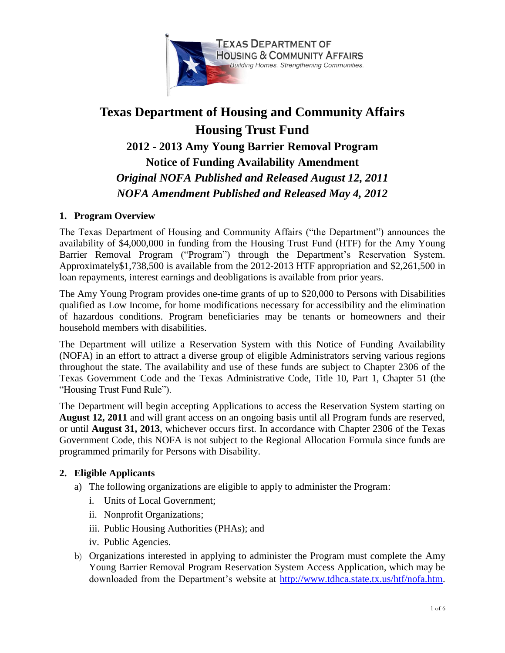

# **Texas Department of Housing and Community Affairs Housing Trust Fund 2012 - 2013 Amy Young Barrier Removal Program Notice of Funding Availability Amendment** *Original NOFA Published and Released August 12, 2011 NOFA Amendment Published and Released May 4, 2012*

# **1. Program Overview**

The Texas Department of Housing and Community Affairs ("the Department") announces the availability of \$4,000,000 in funding from the Housing Trust Fund (HTF) for the Amy Young Barrier Removal Program ("Program") through the Department's Reservation System. Approximately\$1,738,500 is available from the 2012-2013 HTF appropriation and \$2,261,500 in loan repayments, interest earnings and deobligations is available from prior years.

The Amy Young Program provides one-time grants of up to \$20,000 to Persons with Disabilities qualified as Low Income, for home modifications necessary for accessibility and the elimination of hazardous conditions. Program beneficiaries may be tenants or homeowners and their household members with disabilities.

The Department will utilize a Reservation System with this Notice of Funding Availability (NOFA) in an effort to attract a diverse group of eligible Administrators serving various regions throughout the state. The availability and use of these funds are subject to Chapter 2306 of the Texas Government Code and the Texas Administrative Code, Title 10, Part 1, Chapter 51 (the "Housing Trust Fund Rule").

The Department will begin accepting Applications to access the Reservation System starting on **August 12, 2011** and will grant access on an ongoing basis until all Program funds are reserved, or until **August 31, 2013**, whichever occurs first. In accordance with Chapter 2306 of the Texas Government Code, this NOFA is not subject to the Regional Allocation Formula since funds are programmed primarily for Persons with Disability.

# **2. Eligible Applicants**

- a) The following organizations are eligible to apply to administer the Program:
	- i. Units of Local Government;
	- ii. Nonprofit Organizations;
	- iii. Public Housing Authorities (PHAs); and
	- iv. Public Agencies.
- b) Organizations interested in applying to administer the Program must complete the Amy Young Barrier Removal Program Reservation System Access Application, which may be downloaded from the Department's website at [http://www.tdhca.state.tx.us/htf/nofa.htm.](http://www.tdhca.state.tx.us/htf/nofa.htm)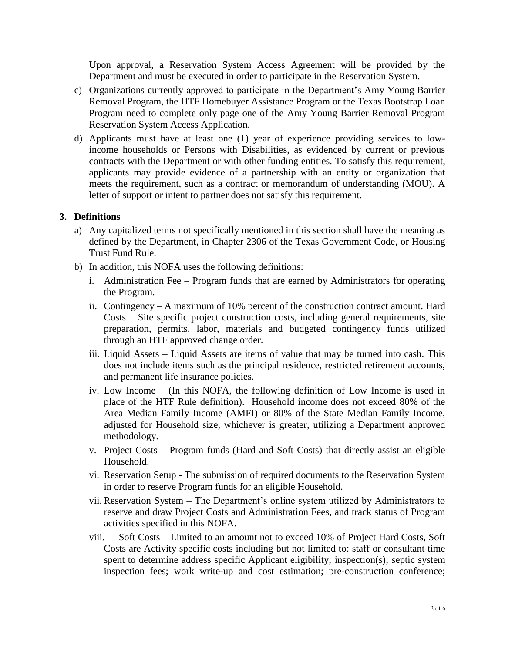Upon approval, a Reservation System Access Agreement will be provided by the Department and must be executed in order to participate in the Reservation System.

- c) Organizations currently approved to participate in the Department's Amy Young Barrier Removal Program, the HTF Homebuyer Assistance Program or the Texas Bootstrap Loan Program need to complete only page one of the Amy Young Barrier Removal Program Reservation System Access Application.
- d) Applicants must have at least one (1) year of experience providing services to lowincome households or Persons with Disabilities, as evidenced by current or previous contracts with the Department or with other funding entities. To satisfy this requirement, applicants may provide evidence of a partnership with an entity or organization that meets the requirement, such as a contract or memorandum of understanding (MOU). A letter of support or intent to partner does not satisfy this requirement.

### **3. Definitions**

- a) Any capitalized terms not specifically mentioned in this section shall have the meaning as defined by the Department, in Chapter 2306 of the Texas Government Code, or Housing Trust Fund Rule.
- b) In addition, this NOFA uses the following definitions:
	- i. Administration Fee Program funds that are earned by Administrators for operating the Program.
	- ii. Contingency A maximum of 10% percent of the construction contract amount. Hard Costs – Site specific project construction costs, including general requirements, site preparation, permits, labor, materials and budgeted contingency funds utilized through an HTF approved change order.
	- iii. Liquid Assets Liquid Assets are items of value that may be turned into cash. This does not include items such as the principal residence, restricted retirement accounts, and permanent life insurance policies.
	- iv. Low Income (In this NOFA, the following definition of Low Income is used in place of the HTF Rule definition). Household income does not exceed 80% of the Area Median Family Income (AMFI) or 80% of the State Median Family Income, adjusted for Household size, whichever is greater, utilizing a Department approved methodology.
	- v. Project Costs Program funds (Hard and Soft Costs) that directly assist an eligible Household.
	- vi. Reservation Setup The submission of required documents to the Reservation System in order to reserve Program funds for an eligible Household.
	- vii. Reservation System The Department's online system utilized by Administrators to reserve and draw Project Costs and Administration Fees, and track status of Program activities specified in this NOFA.
	- viii. Soft Costs Limited to an amount not to exceed 10% of Project Hard Costs, Soft Costs are Activity specific costs including but not limited to: staff or consultant time spent to determine address specific Applicant eligibility; inspection(s); septic system inspection fees; work write-up and cost estimation; pre-construction conference;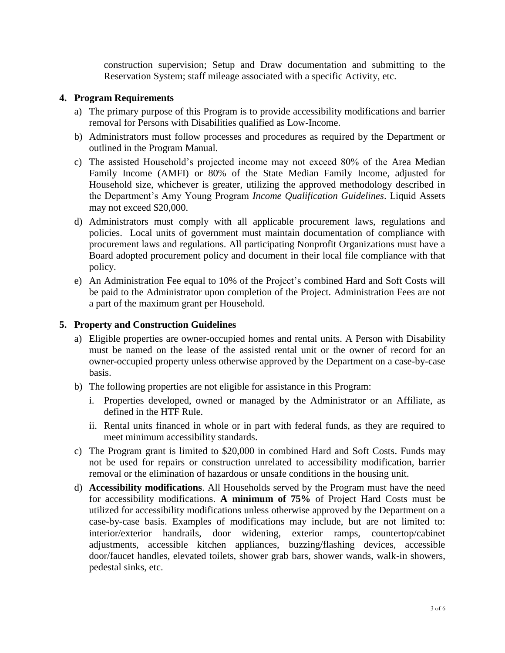construction supervision; Setup and Draw documentation and submitting to the Reservation System; staff mileage associated with a specific Activity, etc.

### **4. Program Requirements**

- a) The primary purpose of this Program is to provide accessibility modifications and barrier removal for Persons with Disabilities qualified as Low-Income.
- b) Administrators must follow processes and procedures as required by the Department or outlined in the Program Manual.
- c) The assisted Household's projected income may not exceed 80% of the Area Median Family Income (AMFI) or 80% of the State Median Family Income, adjusted for Household size, whichever is greater, utilizing the approved methodology described in the Department's Amy Young Program *Income Qualification Guidelines*. Liquid Assets may not exceed \$20,000.
- d) Administrators must comply with all applicable procurement laws, regulations and policies. Local units of government must maintain documentation of compliance with procurement laws and regulations. All participating Nonprofit Organizations must have a Board adopted procurement policy and document in their local file compliance with that policy.
- e) An Administration Fee equal to 10% of the Project's combined Hard and Soft Costs will be paid to the Administrator upon completion of the Project. Administration Fees are not a part of the maximum grant per Household.

## **5. Property and Construction Guidelines**

- a) Eligible properties are owner-occupied homes and rental units. A Person with Disability must be named on the lease of the assisted rental unit or the owner of record for an owner-occupied property unless otherwise approved by the Department on a case-by-case basis.
- b) The following properties are not eligible for assistance in this Program:
	- i. Properties developed, owned or managed by the Administrator or an Affiliate, as defined in the HTF Rule.
	- ii. Rental units financed in whole or in part with federal funds, as they are required to meet minimum accessibility standards.
- c) The Program grant is limited to \$20,000 in combined Hard and Soft Costs. Funds may not be used for repairs or construction unrelated to accessibility modification, barrier removal or the elimination of hazardous or unsafe conditions in the housing unit.
- d) **Accessibility modifications**. All Households served by the Program must have the need for accessibility modifications. **A minimum of 75%** of Project Hard Costs must be utilized for accessibility modifications unless otherwise approved by the Department on a case-by-case basis. Examples of modifications may include, but are not limited to: interior/exterior handrails, door widening, exterior ramps, countertop/cabinet adjustments, accessible kitchen appliances, buzzing/flashing devices, accessible door/faucet handles, elevated toilets, shower grab bars, shower wands, walk-in showers, pedestal sinks, etc.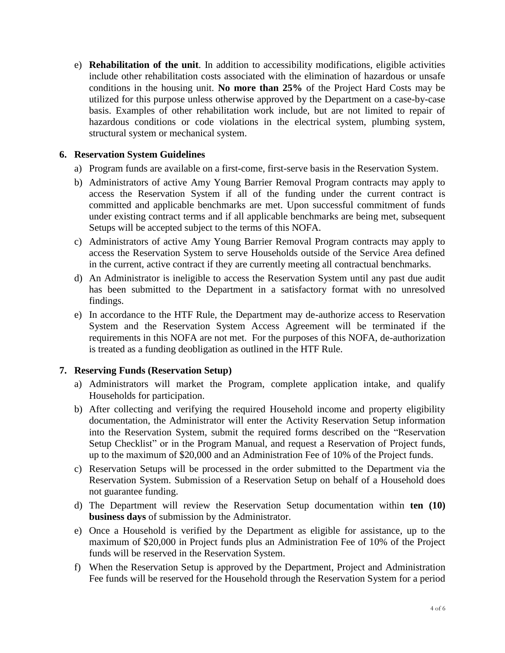e) **Rehabilitation of the unit**. In addition to accessibility modifications, eligible activities include other rehabilitation costs associated with the elimination of hazardous or unsafe conditions in the housing unit. **No more than 25%** of the Project Hard Costs may be utilized for this purpose unless otherwise approved by the Department on a case-by-case basis. Examples of other rehabilitation work include, but are not limited to repair of hazardous conditions or code violations in the electrical system, plumbing system, structural system or mechanical system.

## **6. Reservation System Guidelines**

- a) Program funds are available on a first-come, first-serve basis in the Reservation System.
- b) Administrators of active Amy Young Barrier Removal Program contracts may apply to access the Reservation System if all of the funding under the current contract is committed and applicable benchmarks are met. Upon successful commitment of funds under existing contract terms and if all applicable benchmarks are being met, subsequent Setups will be accepted subject to the terms of this NOFA.
- c) Administrators of active Amy Young Barrier Removal Program contracts may apply to access the Reservation System to serve Households outside of the Service Area defined in the current, active contract if they are currently meeting all contractual benchmarks.
- d) An Administrator is ineligible to access the Reservation System until any past due audit has been submitted to the Department in a satisfactory format with no unresolved findings.
- e) In accordance to the HTF Rule, the Department may de-authorize access to Reservation System and the Reservation System Access Agreement will be terminated if the requirements in this NOFA are not met. For the purposes of this NOFA, de-authorization is treated as a funding deobligation as outlined in the HTF Rule.

# **7. Reserving Funds (Reservation Setup)**

- a) Administrators will market the Program, complete application intake, and qualify Households for participation.
- b) After collecting and verifying the required Household income and property eligibility documentation, the Administrator will enter the Activity Reservation Setup information into the Reservation System, submit the required forms described on the "Reservation Setup Checklist" or in the Program Manual, and request a Reservation of Project funds, up to the maximum of \$20,000 and an Administration Fee of 10% of the Project funds.
- c) Reservation Setups will be processed in the order submitted to the Department via the Reservation System. Submission of a Reservation Setup on behalf of a Household does not guarantee funding.
- d) The Department will review the Reservation Setup documentation within **ten (10) business days** of submission by the Administrator.
- e) Once a Household is verified by the Department as eligible for assistance, up to the maximum of \$20,000 in Project funds plus an Administration Fee of 10% of the Project funds will be reserved in the Reservation System.
- f) When the Reservation Setup is approved by the Department, Project and Administration Fee funds will be reserved for the Household through the Reservation System for a period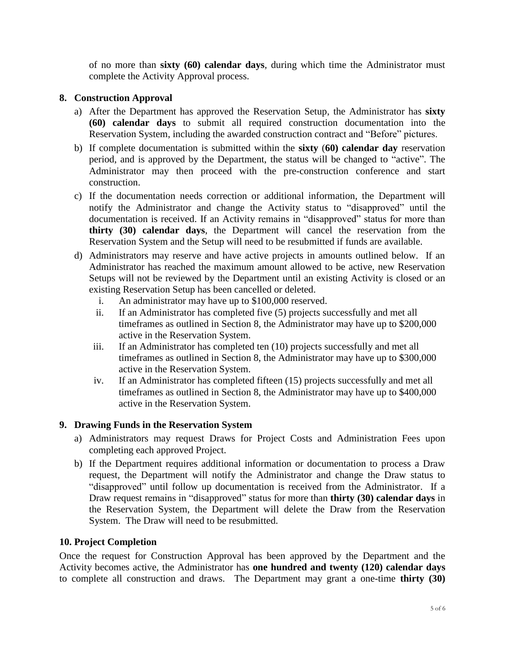of no more than **sixty (60) calendar days**, during which time the Administrator must complete the Activity Approval process.

## **8. Construction Approval**

- a) After the Department has approved the Reservation Setup, the Administrator has **sixty (60) calendar days** to submit all required construction documentation into the Reservation System, including the awarded construction contract and "Before" pictures.
- b) If complete documentation is submitted within the **sixty** (**60) calendar day** reservation period, and is approved by the Department, the status will be changed to "active". The Administrator may then proceed with the pre-construction conference and start construction.
- c) If the documentation needs correction or additional information, the Department will notify the Administrator and change the Activity status to "disapproved" until the documentation is received. If an Activity remains in "disapproved" status for more than **thirty (30) calendar days**, the Department will cancel the reservation from the Reservation System and the Setup will need to be resubmitted if funds are available.
- d) Administrators may reserve and have active projects in amounts outlined below. If an Administrator has reached the maximum amount allowed to be active, new Reservation Setups will not be reviewed by the Department until an existing Activity is closed or an existing Reservation Setup has been cancelled or deleted.
	- i. An administrator may have up to \$100,000 reserved.
	- ii. If an Administrator has completed five (5) projects successfully and met all timeframes as outlined in Section 8, the Administrator may have up to \$200,000 active in the Reservation System.
	- iii. If an Administrator has completed ten (10) projects successfully and met all timeframes as outlined in Section 8, the Administrator may have up to \$300,000 active in the Reservation System.
	- iv. If an Administrator has completed fifteen (15) projects successfully and met all timeframes as outlined in Section 8, the Administrator may have up to \$400,000 active in the Reservation System.

### **9. Drawing Funds in the Reservation System**

- a) Administrators may request Draws for Project Costs and Administration Fees upon completing each approved Project.
- b) If the Department requires additional information or documentation to process a Draw request, the Department will notify the Administrator and change the Draw status to "disapproved" until follow up documentation is received from the Administrator. If a Draw request remains in "disapproved" status for more than **thirty (30) calendar days** in the Reservation System, the Department will delete the Draw from the Reservation System. The Draw will need to be resubmitted.

### **10. Project Completion**

Once the request for Construction Approval has been approved by the Department and the Activity becomes active, the Administrator has **one hundred and twenty (120) calendar days** to complete all construction and draws. The Department may grant a one-time **thirty (30)**